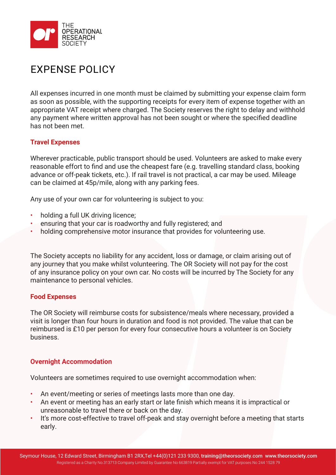

# EXPENSE POLICY

All expenses incurred in one month must be claimed by submitting your expense claim form as soon as possible, with the supporting receipts for every item of expense together with an appropriate VAT receipt where charged. The Society reserves the right to delay and withhold any payment where written approval has not been sought or where the specified deadline has not been met.

### **Travel Expenses**

Wherever practicable, public transport should be used. Volunteers are asked to make every reasonable effort to find and use the cheapest fare (e.g. travelling standard class, booking advance or off-peak tickets, etc.). If rail travel is not practical, a car may be used. Mileage can be claimed at 45p/mile, along with any parking fees.

Any use of your own car for volunteering is subject to you:

- holding a full UK driving licence;
- ensuring that your car is roadworthy and fully registered; and
- holding comprehensive motor insurance that provides for volunteering use.

The Society accepts no liability for any accident, loss or damage, or claim arising out of any journey that you make whilst volunteering. The OR Society will not pay for the cost of any insurance policy on your own car. No costs will be incurred by The Society for any maintenance to personal vehicles.

## **Food Expenses**

The OR Society will reimburse costs for subsistence/meals where necessary, provided a visit is longer than four hours in duration and food is not provided. The value that can be reimbursed is £10 per person for every four consecutive hours a volunteer is on Society business.

## **Overnight Accommodation**

Volunteers are sometimes required to use overnight accommodation when:

- An event/meeting or series of meetings lasts more than one day.
- An event or meeting has an early start or late finish which means it is impractical or unreasonable to travel there or back on the day.
- It's more cost-effective to travel off-peak and stay overnight before a meeting that starts early.